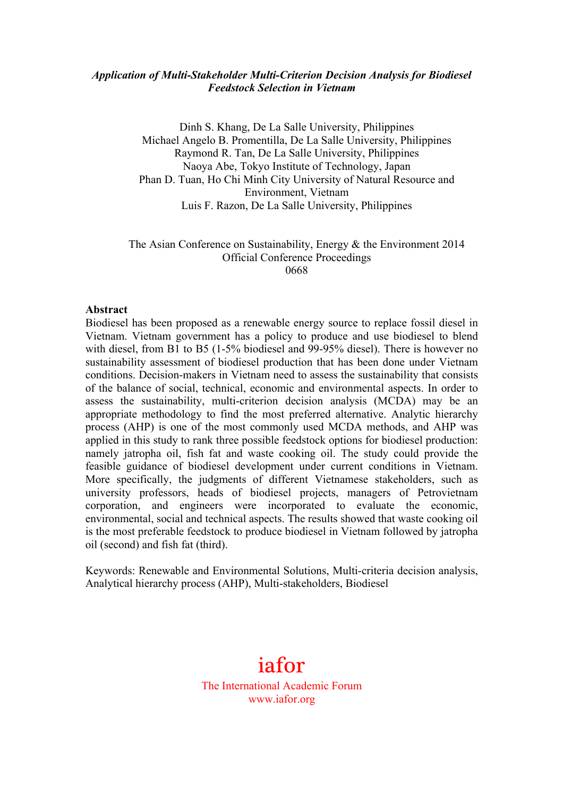#### *Application of Multi-Stakeholder Multi-Criterion Decision Analysis for Biodiesel Feedstock Selection in Vietnam*

Dinh S. Khang, De La Salle University, Philippines Michael Angelo B. Promentilla, De La Salle University, Philippines Raymond R. Tan, De La Salle University, Philippines Naoya Abe, Tokyo Institute of Technology, Japan Phan D. Tuan, Ho Chi Minh City University of Natural Resource and Environment, Vietnam Luis F. Razon, De La Salle University, Philippines

#### The Asian Conference on Sustainability, Energy & the Environment 2014 Official Conference Proceedings 0668

#### **Abstract**

Biodiesel has been proposed as a renewable energy source to replace fossil diesel in Vietnam. Vietnam government has a policy to produce and use biodiesel to blend with diesel, from B1 to B5 (1-5% biodiesel and 99-95% diesel). There is however no sustainability assessment of biodiesel production that has been done under Vietnam conditions. Decision-makers in Vietnam need to assess the sustainability that consists of the balance of social, technical, economic and environmental aspects. In order to assess the sustainability, multi-criterion decision analysis (MCDA) may be an appropriate methodology to find the most preferred alternative. Analytic hierarchy process (AHP) is one of the most commonly used MCDA methods, and AHP was applied in this study to rank three possible feedstock options for biodiesel production: namely jatropha oil, fish fat and waste cooking oil. The study could provide the feasible guidance of biodiesel development under current conditions in Vietnam. More specifically, the judgments of different Vietnamese stakeholders, such as university professors, heads of biodiesel projects, managers of Petrovietnam corporation, and engineers were incorporated to evaluate the economic, environmental, social and technical aspects. The results showed that waste cooking oil is the most preferable feedstock to produce biodiesel in Vietnam followed by jatropha oil (second) and fish fat (third).

Keywords: Renewable and Environmental Solutions, Multi-criteria decision analysis, Analytical hierarchy process (AHP), Multi-stakeholders, Biodiesel

# iafor

The International Academic Forum www.iafor.org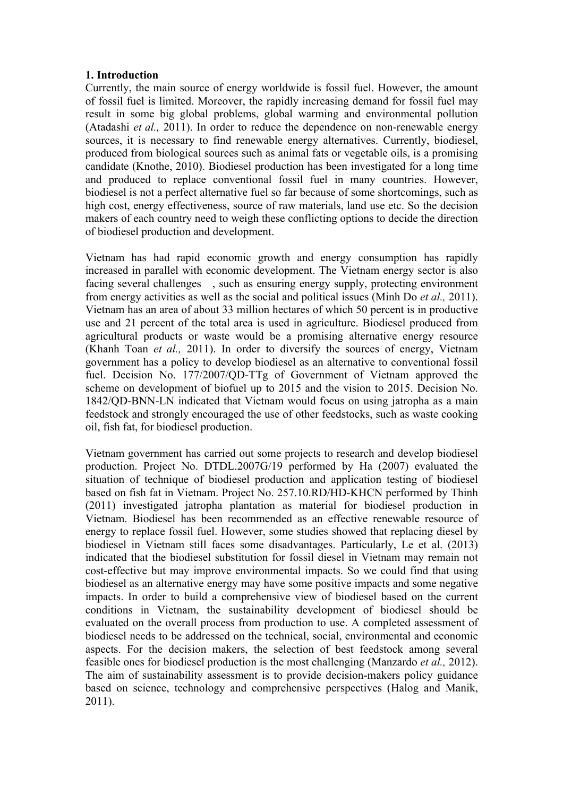### **1. Introduction**

Currently, the main source of energy worldwide is fossil fuel. However, the amount of fossil fuel is limited. Moreover, the rapidly increasing demand for fossil fuel may result in some big global problems, global warming and environmental pollution (Atadashi *et al.,* 2011). In order to reduce the dependence on non-renewable energy sources, it is necessary to find renewable energy alternatives. Currently, biodiesel, produced from biological sources such as animal fats or vegetable oils, is a promising candidate (Knothe, 2010). Biodiesel production has been investigated for a long time and produced to replace conventional fossil fuel in many countries. However, biodiesel is not a perfect alternative fuel so far because of some shortcomings, such as high cost, energy effectiveness, source of raw materials, land use etc. So the decision makers of each country need to weigh these conflicting options to decide the direction of biodiesel production and development.

Vietnam has had rapid economic growth and energy consumption has rapidly increased in parallel with economic development. The Vietnam energy sector is also facing several challenges , such as ensuring energy supply, protecting environment from energy activities as well as the social and political issues (Minh Do *et al.,* 2011). Vietnam has an area of about 33 million hectares of which 50 percent is in productive use and 21 percent of the total area is used in agriculture. Biodiesel produced from agricultural products or waste would be a promising alternative energy resource (Khanh Toan *et al.,* 2011). In order to diversify the sources of energy, Vietnam government has a policy to develop biodiesel as an alternative to conventional fossil fuel. Decision No. 177/2007/QD-TTg of Government of Vietnam approved the scheme on development of biofuel up to 2015 and the vision to 2015. Decision No. 1842/QD-BNN-LN indicated that Vietnam would focus on using jatropha as a main feedstock and strongly encouraged the use of other feedstocks, such as waste cooking oil, fish fat, for biodiesel production.

Vietnam government has carried out some projects to research and develop biodiesel production. Project No. DTDL.2007G/19 performed by Ha (2007) evaluated the situation of technique of biodiesel production and application testing of biodiesel based on fish fat in Vietnam. Project No. 257.10.RD/HD-KHCN performed by Thinh (2011) investigated jatropha plantation as material for biodiesel production in Vietnam. Biodiesel has been recommended as an effective renewable resource of energy to replace fossil fuel. However, some studies showed that replacing diesel by biodiesel in Vietnam still faces some disadvantages. Particularly, Le et al. (2013) indicated that the biodiesel substitution for fossil diesel in Vietnam may remain not cost-effective but may improve environmental impacts. So we could find that using biodiesel as an alternative energy may have some positive impacts and some negative impacts. In order to build a comprehensive view of biodiesel based on the current conditions in Vietnam, the sustainability development of biodiesel should be evaluated on the overall process from production to use. A completed assessment of biodiesel needs to be addressed on the technical, social, environmental and economic aspects. For the decision makers, the selection of best feedstock among several feasible ones for biodiesel production is the most challenging (Manzardo *et al.,* 2012). The aim of sustainability assessment is to provide decision-makers policy guidance based on science, technology and comprehensive perspectives (Halog and Manik, 2011).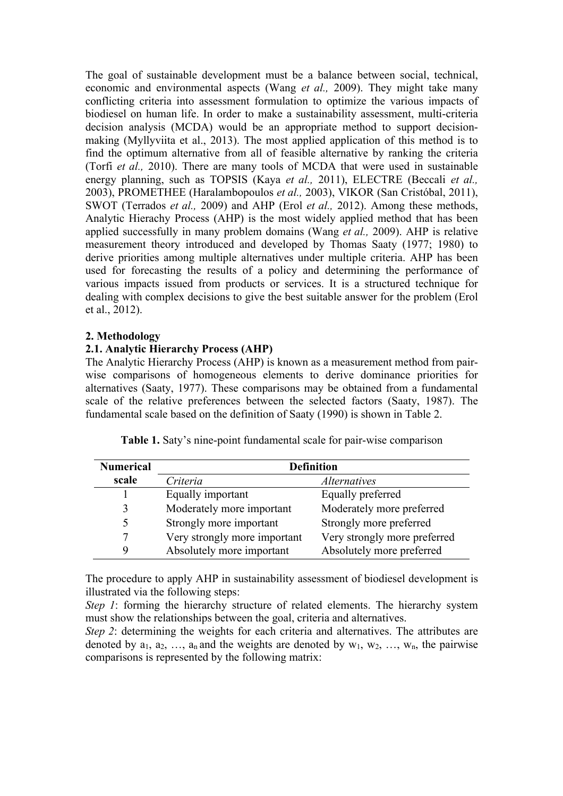The goal of sustainable development must be a balance between social, technical, economic and environmental aspects (Wang *et al.,* 2009). They might take many conflicting criteria into assessment formulation to optimize the various impacts of biodiesel on human life. In order to make a sustainability assessment, multi-criteria decision analysis (MCDA) would be an appropriate method to support decisionmaking (Myllyviita et al., 2013). The most applied application of this method is to find the optimum alternative from all of feasible alternative by ranking the criteria (Torfi *et al.,* 2010). There are many tools of MCDA that were used in sustainable energy planning, such as TOPSIS (Kaya *et al.,* 2011), ELECTRE (Beccali *et al.,* 2003), PROMETHEE (Haralambopoulos *et al.,* 2003), VIKOR (San Cristóbal, 2011), SWOT (Terrados *et al.,* 2009) and AHP (Erol *et al.,* 2012). Among these methods, Analytic Hierachy Process (AHP) is the most widely applied method that has been applied successfully in many problem domains (Wang *et al.,* 2009). AHP is relative measurement theory introduced and developed by Thomas Saaty (1977; 1980) to derive priorities among multiple alternatives under multiple criteria. AHP has been used for forecasting the results of a policy and determining the performance of various impacts issued from products or services. It is a structured technique for dealing with complex decisions to give the best suitable answer for the problem (Erol et al., 2012).

### **2. Methodology**

## **2.1. Analytic Hierarchy Process (AHP)**

The Analytic Hierarchy Process (AHP) is known as a measurement method from pairwise comparisons of homogeneous elements to derive dominance priorities for alternatives (Saaty, 1977). These comparisons may be obtained from a fundamental scale of the relative preferences between the selected factors (Saaty, 1987). The fundamental scale based on the definition of Saaty (1990) is shown in Table 2.

| <b>Numerical</b> |                              | <b>Definition</b>            |
|------------------|------------------------------|------------------------------|
| scale            | Criteria                     | <i>Alternatives</i>          |
|                  | Equally important            | Equally preferred            |
| 3                | Moderately more important    | Moderately more preferred    |
| 5                | Strongly more important      | Strongly more preferred      |
| 7                | Very strongly more important | Very strongly more preferred |
| 9                | Absolutely more important    | Absolutely more preferred    |

**Table 1.** Saty's nine-point fundamental scale for pair-wise comparison

The procedure to apply AHP in sustainability assessment of biodiesel development is illustrated via the following steps:

*Step 1*: forming the hierarchy structure of related elements. The hierarchy system must show the relationships between the goal, criteria and alternatives.

*Step 2*: determining the weights for each criteria and alternatives. The attributes are denoted by  $a_1, a_2, \ldots, a_n$  and the weights are denoted by  $w_1, w_2, \ldots, w_n$ , the pairwise comparisons is represented by the following matrix: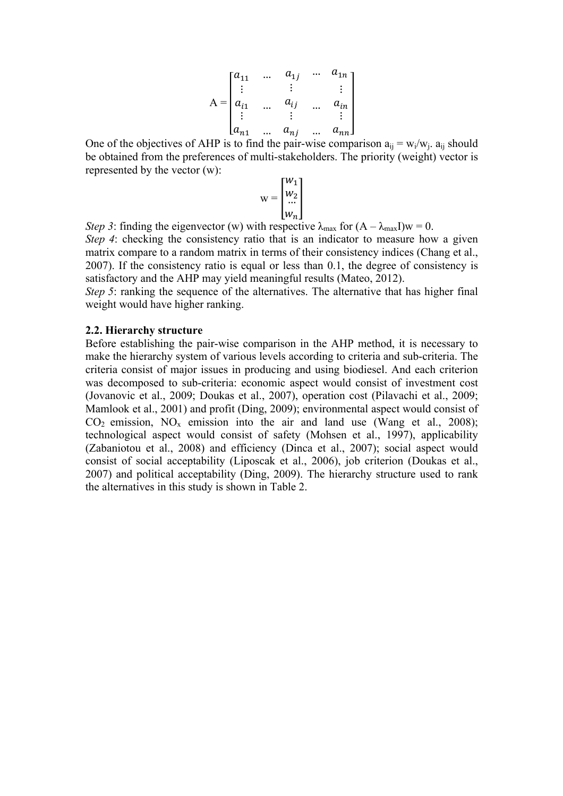$$
A = \begin{bmatrix} a_{11} & \dots & a_{1j} & \dots & a_{1n} \\ \vdots & & \vdots & & \vdots \\ a_{i1} & \dots & a_{ij} & \dots & a_{in} \\ \vdots & & \vdots & & \vdots \\ a_{n1} & \dots & a_{nj} & \dots & a_{nn} \end{bmatrix}
$$

One of the objectives of AHP is to find the pair-wise comparison  $a_{ij} = w_i/w_i$ .  $a_{ij}$  should be obtained from the preferences of multi-stakeholders. The priority (weight) vector is represented by the vector (w):

$$
\mathbf{w} = \begin{bmatrix} w_1 \\ w_2 \\ \dots \\ w_n \end{bmatrix}
$$

*Step 3*: finding the eigenvector (w) with respective  $\lambda_{\text{max}}$  for  $(A - \lambda_{\text{max}}I)w = 0$ . *Step 4*: checking the consistency ratio that is an indicator to measure how a given matrix compare to a random matrix in terms of their consistency indices (Chang et al., 2007). If the consistency ratio is equal or less than 0.1, the degree of consistency is satisfactory and the AHP may yield meaningful results (Mateo, 2012).

*Step 5*: ranking the sequence of the alternatives. The alternative that has higher final weight would have higher ranking.

#### **2.2. Hierarchy structure**

Before establishing the pair-wise comparison in the AHP method, it is necessary to make the hierarchy system of various levels according to criteria and sub-criteria. The criteria consist of major issues in producing and using biodiesel. And each criterion was decomposed to sub-criteria: economic aspect would consist of investment cost (Jovanovic et al., 2009; Doukas et al., 2007), operation cost (Pilavachi et al., 2009; Mamlook et al., 2001) and profit (Ding, 2009); environmental aspect would consist of  $CO<sub>2</sub>$  emission, NO<sub>x</sub> emission into the air and land use (Wang et al., 2008); technological aspect would consist of safety (Mohsen et al., 1997), applicability (Zabaniotou et al., 2008) and efficiency (Dinca et al., 2007); social aspect would consist of social acceptability (Liposcak et al., 2006), job criterion (Doukas et al., 2007) and political acceptability (Ding, 2009). The hierarchy structure used to rank the alternatives in this study is shown in Table 2.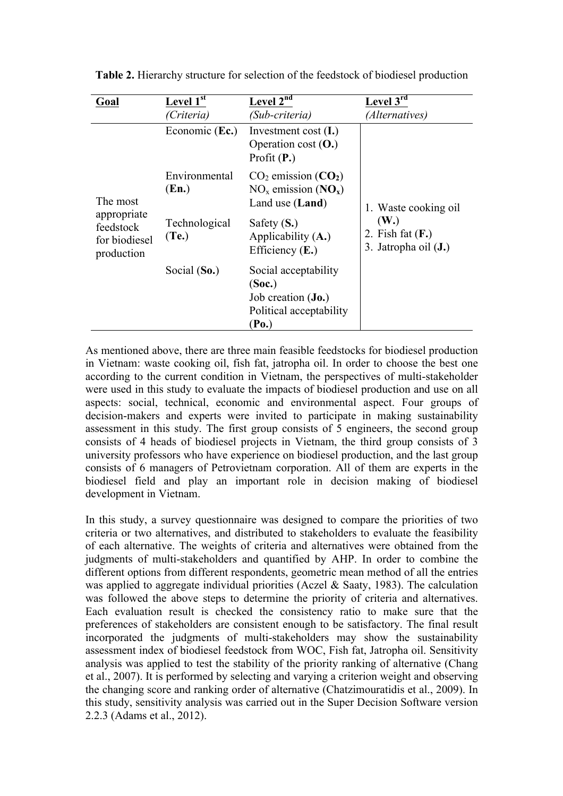| Goal                                 | <b>Level</b> $1^{st}$                   | <b>Level</b> $2^{nd}$                                                                | <b>Level</b> $3^{\overline{rd}}$                               |
|--------------------------------------|-----------------------------------------|--------------------------------------------------------------------------------------|----------------------------------------------------------------|
|                                      | (Criteria)                              | (Sub-criteria)                                                                       | (Alternatives)                                                 |
|                                      | Economic (Ec.)                          | Investment cost $(I.)$<br>Operation cost $(O.)$<br>Profit $(P.)$                     |                                                                |
| The most<br>appropriate<br>feedstock | Environmental<br>(En.)<br>Technological | $CO2$ emission $(CO2)$<br>$NOx$ emission $(NOx)$<br>Land use (Land)<br>Safety $(S.)$ | 1. Waste cooking oil<br>(W <sub>.)</sub><br>2. Fish fat $(F.)$ |
| for biodiesel<br>production          | (Te.)                                   | Applicability $(A.)$<br>Efficiency $(E.)$                                            | 3. Jatropha oil (J.)                                           |
|                                      | Social $(So.)$                          | Social acceptability<br>(Soc.)                                                       |                                                                |
|                                      |                                         | Job creation ( <b>Jo.</b> )<br>Political acceptability<br>(Po.)                      |                                                                |

**Table 2.** Hierarchy structure for selection of the feedstock of biodiesel production

As mentioned above, there are three main feasible feedstocks for biodiesel production in Vietnam: waste cooking oil, fish fat, jatropha oil. In order to choose the best one according to the current condition in Vietnam, the perspectives of multi-stakeholder were used in this study to evaluate the impacts of biodiesel production and use on all aspects: social, technical, economic and environmental aspect. Four groups of decision-makers and experts were invited to participate in making sustainability assessment in this study. The first group consists of 5 engineers, the second group consists of 4 heads of biodiesel projects in Vietnam, the third group consists of 3 university professors who have experience on biodiesel production, and the last group consists of 6 managers of Petrovietnam corporation. All of them are experts in the biodiesel field and play an important role in decision making of biodiesel development in Vietnam.

In this study, a survey questionnaire was designed to compare the priorities of two criteria or two alternatives, and distributed to stakeholders to evaluate the feasibility of each alternative. The weights of criteria and alternatives were obtained from the judgments of multi-stakeholders and quantified by AHP. In order to combine the different options from different respondents, geometric mean method of all the entries was applied to aggregate individual priorities (Aczel & Saaty, 1983). The calculation was followed the above steps to determine the priority of criteria and alternatives. Each evaluation result is checked the consistency ratio to make sure that the preferences of stakeholders are consistent enough to be satisfactory. The final result incorporated the judgments of multi-stakeholders may show the sustainability assessment index of biodiesel feedstock from WOC, Fish fat, Jatropha oil. Sensitivity analysis was applied to test the stability of the priority ranking of alternative (Chang et al., 2007). It is performed by selecting and varying a criterion weight and observing the changing score and ranking order of alternative (Chatzimouratidis et al., 2009). In this study, sensitivity analysis was carried out in the Super Decision Software version 2.2.3 (Adams et al., 2012).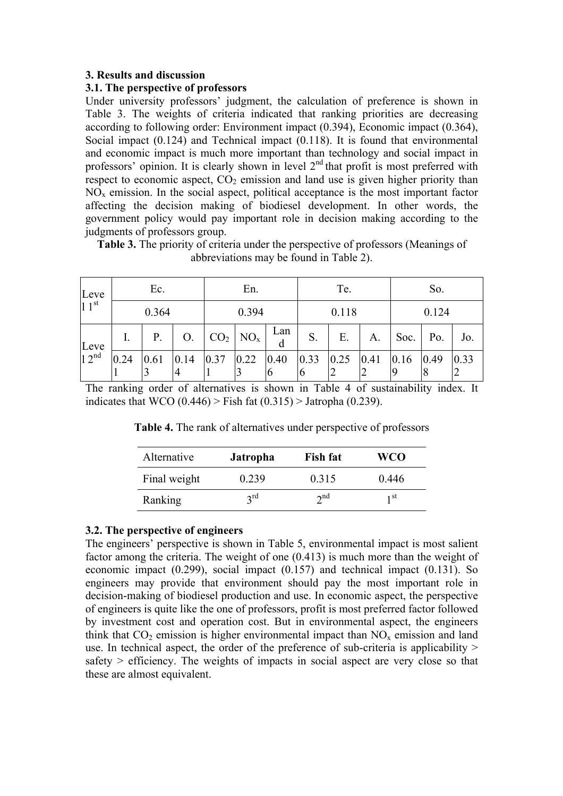## **3. Results and discussion**

### **3.1. The perspective of professors**

Under university professors' judgment, the calculation of preference is shown in Table 3. The weights of criteria indicated that ranking priorities are decreasing according to following order: Environment impact (0.394), Economic impact (0.364), Social impact (0.124) and Technical impact (0.118). It is found that environmental and economic impact is much more important than technology and social impact in professors' opinion. It is clearly shown in level  $2<sup>nd</sup>$  that profit is most preferred with respect to economic aspect,  $CO<sub>2</sub>$  emission and land use is given higher priority than  $NO<sub>x</sub>$  emission. In the social aspect, political acceptance is the most important factor affecting the decision making of biodiesel development. In other words, the government policy would pay important role in decision making according to the judgments of professors group.

**Table 3.** The priority of criteria under the perspective of professors (Meanings of abbreviations may be found in Table 2).

| Leve<br>$11^{st}$        | Ec.   |      |                                                                                        | En.                                                     |  |          | Te.      |                                                                                                          |                | So.          |                        |            |
|--------------------------|-------|------|----------------------------------------------------------------------------------------|---------------------------------------------------------|--|----------|----------|----------------------------------------------------------------------------------------------------------|----------------|--------------|------------------------|------------|
|                          | 0.364 |      |                                                                                        | 0.394                                                   |  |          | 0.118    |                                                                                                          |                | 0.124        |                        |            |
| Leve<br>12 <sup>nd</sup> |       | Ρ.   | O <sub>1</sub>                                                                         | $\vert$ CO <sub>2</sub> $\vert$ NO <sub>x</sub> $\vert$ |  | Lan<br>d | $S_{-}$  | E.                                                                                                       | A.             | Soc. $P_0$ . |                        | Jo.        |
|                          | 0.24  | 0.61 | $\begin{array}{ l c c c c c c c } \hline 0.14 & 0.37 & 0.22 & 0.40 \hline \end{array}$ |                                                         |  | 16       | $\sigma$ | $\begin{array}{ c c c c c c c c } \hline 0.33 & 0.25 & 0.41 & 0.16 \hline \end{array}$<br>$\overline{2}$ | $\overline{2}$ |              | 0.49<br>$\overline{8}$ | 0.33<br> 2 |

The ranking order of alternatives is shown in Table 4 of sustainability index. It indicates that WCO  $(0.446)$  > Fish fat  $(0.315)$  > Jatropha  $(0.239)$ .

**Table 4.** The rank of alternatives under perspective of professors

| Alternative  | <b>Jatropha</b> | <b>Fish fat</b> | WCO   |
|--------------|-----------------|-----------------|-------|
| Final weight | 0.239           | 0.315           | 0.446 |
| Ranking      | $2^{\text{rd}}$ | $\gamma$ nd     | 1 St  |

# **3.2. The perspective of engineers**

The engineers' perspective is shown in Table 5, environmental impact is most salient factor among the criteria. The weight of one (0.413) is much more than the weight of economic impact (0.299), social impact (0.157) and technical impact (0.131). So engineers may provide that environment should pay the most important role in decision-making of biodiesel production and use. In economic aspect, the perspective of engineers is quite like the one of professors, profit is most preferred factor followed by investment cost and operation cost. But in environmental aspect, the engineers think that  $CO_2$  emission is higher environmental impact than  $NO_x$  emission and land use. In technical aspect, the order of the preference of sub-criteria is applicability  $>$ safety  $>$  efficiency. The weights of impacts in social aspect are very close so that these are almost equivalent.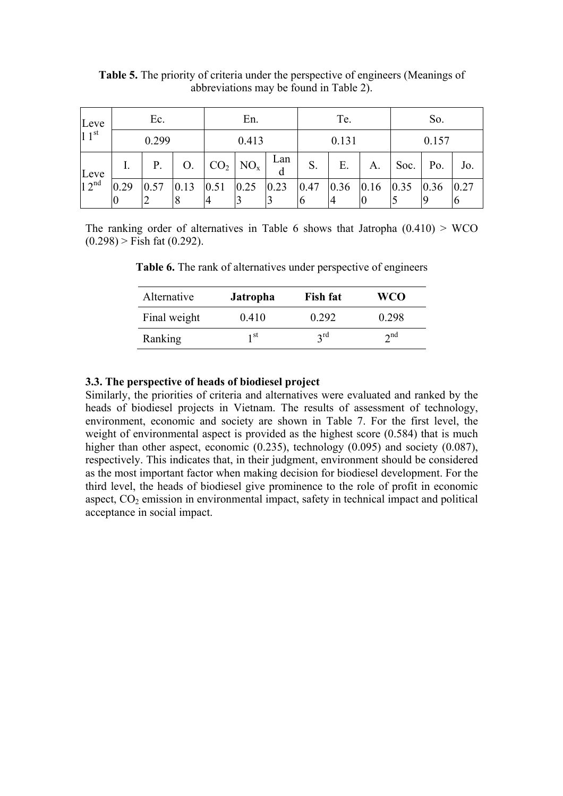| Leve<br>$11^{st}$                   | Ec.       |    |  | En.              |  |     | Te.   |    |    | So.   |                    |     |
|-------------------------------------|-----------|----|--|------------------|--|-----|-------|----|----|-------|--------------------|-----|
|                                     | 0.299     |    |  | 0.413            |  |     | 0.131 |    |    | 0.157 |                    |     |
|                                     |           | P. |  | $O.  CO_2  NO_x$ |  | Lan | S.    | E. | A. | Soc.  | $\overline{P}$ Po. | Jo. |
| Leve<br>$\frac{1}{2}$ <sup>nd</sup> | 0.29<br>Ю |    |  | 14               |  |     | 10    |    |    |       |                    |     |

**Table 5.** The priority of criteria under the perspective of engineers (Meanings of abbreviations may be found in Table 2).

The ranking order of alternatives in Table 6 shows that Jatropha  $(0.410)$  > WCO  $(0.298)$  > Fish fat  $(0.292)$ .

| Alternative  | <b>Jatropha</b> | <b>Fish fat</b> | WCO         |
|--------------|-----------------|-----------------|-------------|
| Final weight | 0.410           | 0 292           | 0.298       |
| Ranking      | 1 st            | $2^{\text{rd}}$ | $\gamma$ nd |

**Table 6.** The rank of alternatives under perspective of engineers

### **3.3. The perspective of heads of biodiesel project**

Similarly, the priorities of criteria and alternatives were evaluated and ranked by the heads of biodiesel projects in Vietnam. The results of assessment of technology, environment, economic and society are shown in Table 7. For the first level, the weight of environmental aspect is provided as the highest score  $(0.584)$  that is much higher than other aspect, economic (0.235), technology (0.095) and society (0.087), respectively. This indicates that, in their judgment, environment should be considered as the most important factor when making decision for biodiesel development. For the third level, the heads of biodiesel give prominence to the role of profit in economic aspect,  $CO<sub>2</sub>$  emission in environmental impact, safety in technical impact and political acceptance in social impact.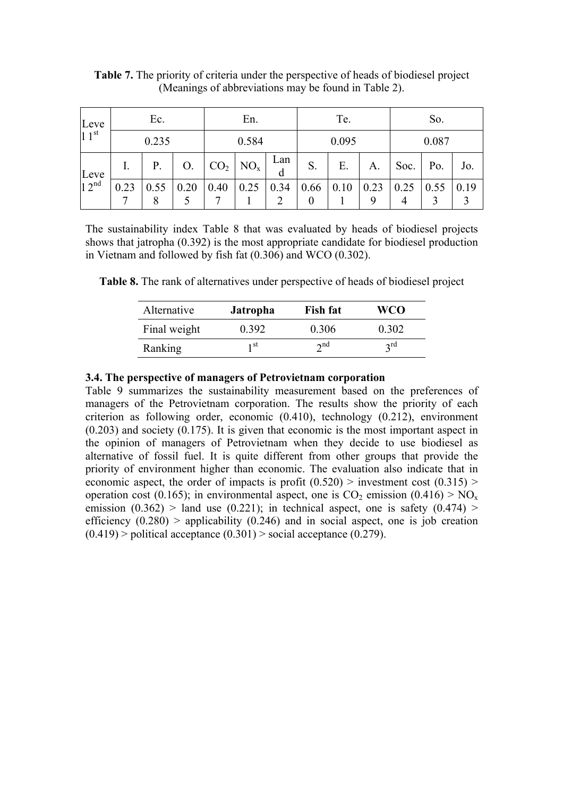| Leve<br>$11^{st}$ | Ec.   |      |                 | En.             |          |          | Te.   |                    |      | So.   |                    |             |
|-------------------|-------|------|-----------------|-----------------|----------|----------|-------|--------------------|------|-------|--------------------|-------------|
|                   | 0.235 |      |                 | 0.584           |          |          | 0.095 |                    |      | 0.087 |                    |             |
|                   |       | Ρ.   | $\mathcal{O}$ . | CO <sub>2</sub> | $NO_{x}$ | Lan<br>d | S.    | Ε.                 | A.   | Soc.  | Po.                | Jo.         |
| Leve<br>$12^{nd}$ | 0.23  | 0.55 | 0.20            | 0.40            | 0.25     | 0.34     | 0.66  | $\vert 0.10 \vert$ | 0.23 | 0.25  | $\vert 0.55 \vert$ | $\mid$ 0.19 |

**Table 7.** The priority of criteria under the perspective of heads of biodiesel project (Meanings of abbreviations may be found in Table 2).

The sustainability index Table 8 that was evaluated by heads of biodiesel projects shows that jatropha (0.392) is the most appropriate candidate for biodiesel production in Vietnam and followed by fish fat (0.306) and WCO (0.302).

**Table 8.** The rank of alternatives under perspective of heads of biodiesel project

| Alternative  | <b>Jatropha</b> | <b>Fish fat</b> | WCO             |
|--------------|-----------------|-----------------|-----------------|
| Final weight | 0.392           | 0.306           | 0.302           |
| Ranking      | 1 st            | $\gamma$ nd     | $2^{\text{rd}}$ |

## **3.4. The perspective of managers of Petrovietnam corporation**

Table 9 summarizes the sustainability measurement based on the preferences of managers of the Petrovietnam corporation. The results show the priority of each criterion as following order, economic (0.410), technology (0.212), environment (0.203) and society (0.175). It is given that economic is the most important aspect in the opinion of managers of Petrovietnam when they decide to use biodiesel as alternative of fossil fuel. It is quite different from other groups that provide the priority of environment higher than economic. The evaluation also indicate that in economic aspect, the order of impacts is profit  $(0.520)$  > investment cost  $(0.315)$  > operation cost (0.165); in environmental aspect, one is  $CO_2$  emission (0.416) > NO<sub>x</sub> emission  $(0.362)$  > land use  $(0.221)$ ; in technical aspect, one is safety  $(0.474)$  > efficiency  $(0.280)$  > applicability  $(0.246)$  and in social aspect, one is job creation  $(0.419)$  > political acceptance  $(0.301)$  > social acceptance  $(0.279)$ .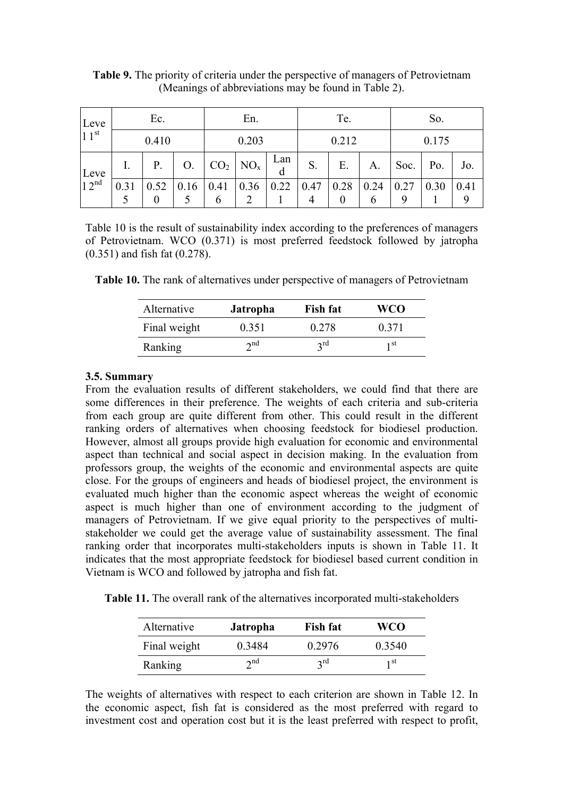| Leve<br>$11^{st}$ | Ec.   |      |      | En.       |                        |          | Te.                    |                  |           | So.   |      |           |
|-------------------|-------|------|------|-----------|------------------------|----------|------------------------|------------------|-----------|-------|------|-----------|
|                   | 0.410 |      |      | 0.203     |                        |          | 0.212                  |                  |           | 0.175 |      |           |
| Leve              |       | P.   | O.   |           | $CO2$ NO <sub>x</sub>  | Lan<br>d | S.                     | E.               | A.        | Soc.  | Po.  | Jo.       |
| 12 <sup>nd</sup>  | 0.31  | 0.52 | 0.16 | 0.41<br>6 | 0.36<br>$\overline{2}$ | 0.22     | 0.47<br>$\overline{4}$ | 0.28<br>$\theta$ | 0.24<br>6 | 0.27  | 0.30 | 0.41<br>9 |

**Table 9.** The priority of criteria under the perspective of managers of Petrovietnam (Meanings of abbreviations may be found in Table 2).

Table 10 is the result of sustainability index according to the preferences of managers of Petrovietnam. WCO (0.371) is most preferred feedstock followed by jatropha (0.351) and fish fat (0.278).

**Table 10.** The rank of alternatives under perspective of managers of Petrovietnam

| Alternative  | <b>Jatropha</b> | <b>Fish fat</b> | WCO   |
|--------------|-----------------|-----------------|-------|
| Final weight | 0.351           | 0 278           | 0.371 |
| Ranking      | $\gamma$ nd     | $2^{\text{rd}}$ | 1 st  |

### **3.5. Summary**

From the evaluation results of different stakeholders, we could find that there are some differences in their preference. The weights of each criteria and sub-criteria from each group are quite different from other. This could result in the different ranking orders of alternatives when choosing feedstock for biodiesel production. However, almost all groups provide high evaluation for economic and environmental aspect than technical and social aspect in decision making. In the evaluation from professors group, the weights of the economic and environmental aspects are quite close. For the groups of engineers and heads of biodiesel project, the environment is evaluated much higher than the economic aspect whereas the weight of economic aspect is much higher than one of environment according to the judgment of managers of Petrovietnam. If we give equal priority to the perspectives of multistakeholder we could get the average value of sustainability assessment. The final ranking order that incorporates multi-stakeholders inputs is shown in Table 11. It indicates that the most appropriate feedstock for biodiesel based current condition in Vietnam is WCO and followed by jatropha and fish fat.

**Table 11.** The overall rank of the alternatives incorporated multi-stakeholders

| Alternative  | <b>Jatropha</b> | <b>Fish fat</b> | <b>WCO</b> |
|--------------|-----------------|-----------------|------------|
| Final weight | 0.3484          | 0 2976          | 0.3540     |
| Ranking      | $\gamma$ nd     | $2$ rd          | 1 st       |

The weights of alternatives with respect to each criterion are shown in Table 12. In the economic aspect, fish fat is considered as the most preferred with regard to investment cost and operation cost but it is the least preferred with respect to profit,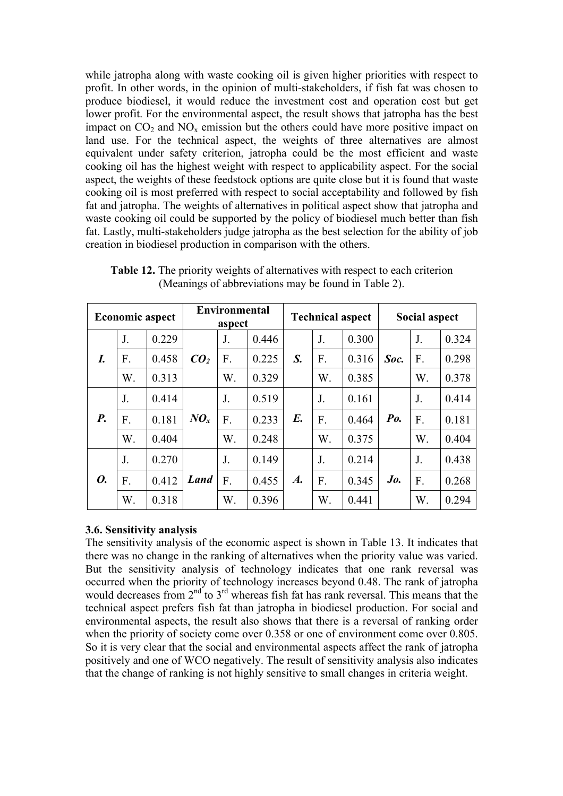while jatropha along with waste cooking oil is given higher priorities with respect to profit. In other words, in the opinion of multi-stakeholders, if fish fat was chosen to produce biodiesel, it would reduce the investment cost and operation cost but get lower profit. For the environmental aspect, the result shows that jatropha has the best impact on  $CO<sub>2</sub>$  and  $NO<sub>x</sub>$  emission but the others could have more positive impact on land use. For the technical aspect, the weights of three alternatives are almost equivalent under safety criterion, jatropha could be the most efficient and waste cooking oil has the highest weight with respect to applicability aspect. For the social aspect, the weights of these feedstock options are quite close but it is found that waste cooking oil is most preferred with respect to social acceptability and followed by fish fat and jatropha. The weights of alternatives in political aspect show that jatropha and waste cooking oil could be supported by the policy of biodiesel much better than fish fat. Lastly, multi-stakeholders judge jatropha as the best selection for the ability of job creation in biodiesel production in comparison with the others.

| <b>Economic aspect</b> |                |       |                 | Environmental<br>aspect |       |                    | <b>Technical aspect</b> |       |                | Social aspect |       |  |
|------------------------|----------------|-------|-----------------|-------------------------|-------|--------------------|-------------------------|-------|----------------|---------------|-------|--|
|                        | J.             | 0.229 |                 | J.                      | 0.446 |                    | J.                      | 0.300 |                | J.            | 0.324 |  |
| I.                     | F.             | 0.458 | CO <sub>2</sub> | F.                      | 0.225 | S.                 | F.                      | 0.316 | Soc.           | F.            | 0.298 |  |
|                        | W.             | 0.313 |                 | W.                      | 0.329 |                    | W.                      | 0.385 |                | W.            | 0.378 |  |
|                        | J <sub>1</sub> | 0.414 |                 | J.                      | 0.519 | E.                 | J.                      | 0.161 | P <sub>0</sub> | J.            | 0.414 |  |
| <b>P.</b>              | F.             | 0.181 | $N\mathbf{O}_x$ | F.                      | 0.233 |                    | F.                      | 0.464 |                | F.            | 0.181 |  |
|                        | W.             | 0.404 |                 | W.                      | 0.248 |                    | W.                      | 0.375 |                | W.            | 0.404 |  |
|                        | J.             | 0.270 |                 | J.                      | 0.149 |                    | J.                      | 0.214 | Jo.            | J.            | 0.438 |  |
| 0.                     | F.             | 0.412 | <b>Land</b>     | F.                      | 0.455 | $\boldsymbol{A}$ . | F.                      | 0.345 |                | F.            | 0.268 |  |
|                        | W.             | 0.318 |                 | W.                      | 0.396 |                    | W.                      | 0.441 |                | W.            | 0.294 |  |

**Table 12.** The priority weights of alternatives with respect to each criterion (Meanings of abbreviations may be found in Table 2).

# **3.6. Sensitivity analysis**

The sensitivity analysis of the economic aspect is shown in Table 13. It indicates that there was no change in the ranking of alternatives when the priority value was varied. But the sensitivity analysis of technology indicates that one rank reversal was occurred when the priority of technology increases beyond 0.48. The rank of jatropha would decreases from  $2<sup>nd</sup>$  to  $3<sup>rd</sup>$  whereas fish fat has rank reversal. This means that the technical aspect prefers fish fat than jatropha in biodiesel production. For social and environmental aspects, the result also shows that there is a reversal of ranking order when the priority of society come over 0.358 or one of environment come over 0.805. So it is very clear that the social and environmental aspects affect the rank of jatropha positively and one of WCO negatively. The result of sensitivity analysis also indicates that the change of ranking is not highly sensitive to small changes in criteria weight.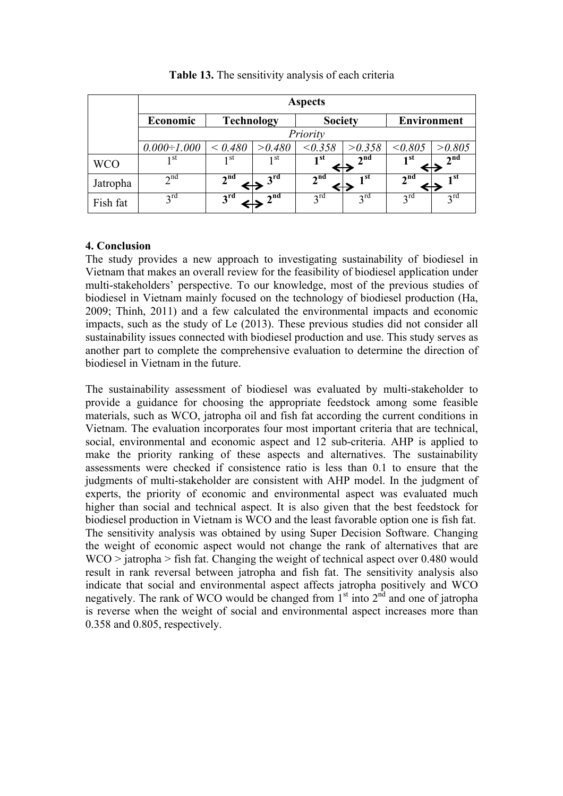|            | <b>Aspects</b>     |                   |                 |                 |                 |                    |                 |
|------------|--------------------|-------------------|-----------------|-----------------|-----------------|--------------------|-----------------|
|            | Economic           | <b>Technology</b> |                 | <b>Society</b>  |                 | <b>Environment</b> |                 |
|            | Priority           |                   |                 |                 |                 |                    |                 |
|            | $0.000 \div 1.000$ | < 0.480           | > 0.480         | < 0.358         | >0.358          | < 0.805            | >0.805          |
| <b>WCO</b> | 1 st               | 1 <sup>st</sup>   | 1 st            | 1 <sup>st</sup> | 2 <sup>nd</sup> | 1 <sup>st</sup>    | 2 <sup>nd</sup> |
| Jatropha   | $2^{nd}$           | 2 <sup>nd</sup>   | $2^{\text{rd}}$ | 2 <sup>nd</sup> | 1 <sup>st</sup> | 2 <sup>nd</sup>    | 1 <sup>st</sup> |
| Fish fat   | $3^{\text{rd}}$    | 3 <sup>rd</sup>   | 2 <sub>nd</sub> | $2^{\text{rd}}$ | $3^{\text{rd}}$ | $2^{\text{rd}}$    | $3^{\text{rd}}$ |

**Table 13.** The sensitivity analysis of each criteria

# **4. Conclusion**

The study provides a new approach to investigating sustainability of biodiesel in Vietnam that makes an overall review for the feasibility of biodiesel application under multi-stakeholders' perspective. To our knowledge, most of the previous studies of biodiesel in Vietnam mainly focused on the technology of biodiesel production (Ha, 2009; Thinh, 2011) and a few calculated the environmental impacts and economic impacts, such as the study of Le (2013). These previous studies did not consider all sustainability issues connected with biodiesel production and use. This study serves as another part to complete the comprehensive evaluation to determine the direction of biodiesel in Vietnam in the future.

The sustainability assessment of biodiesel was evaluated by multi-stakeholder to provide a guidance for choosing the appropriate feedstock among some feasible materials, such as WCO, jatropha oil and fish fat according the current conditions in Vietnam. The evaluation incorporates four most important criteria that are technical, social, environmental and economic aspect and 12 sub-criteria. AHP is applied to make the priority ranking of these aspects and alternatives. The sustainability assessments were checked if consistence ratio is less than 0.1 to ensure that the judgments of multi-stakeholder are consistent with AHP model. In the judgment of experts, the priority of economic and environmental aspect was evaluated much higher than social and technical aspect. It is also given that the best feedstock for biodiesel production in Vietnam is WCO and the least favorable option one is fish fat. The sensitivity analysis was obtained by using Super Decision Software. Changing the weight of economic aspect would not change the rank of alternatives that are WCO > jatropha > fish fat. Changing the weight of technical aspect over 0.480 would result in rank reversal between jatropha and fish fat. The sensitivity analysis also indicate that social and environmental aspect affects jatropha positively and WCO negatively. The rank of WCO would be changed from 1<sup>st</sup> into 2<sup>nd</sup> and one of jatropha is reverse when the weight of social and environmental aspect increases more than 0.358 and 0.805, respectively.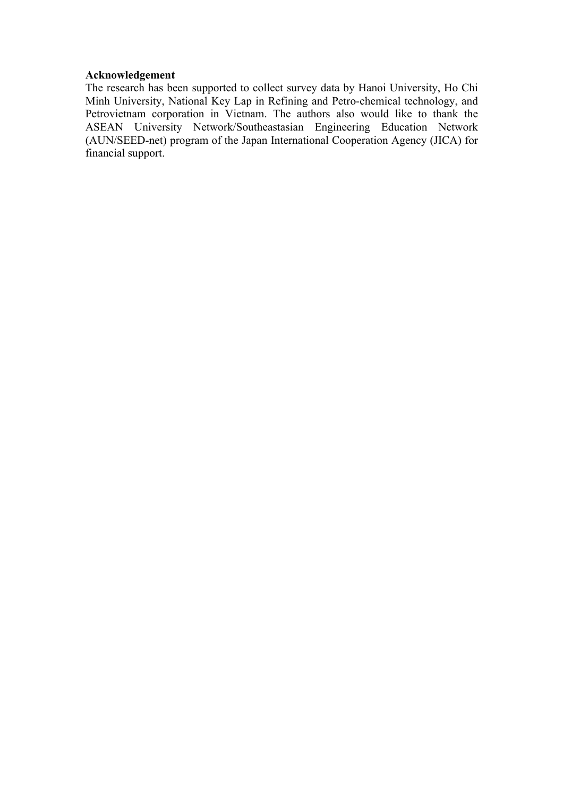#### **Acknowledgement**

The research has been supported to collect survey data by Hanoi University, Ho Chi Minh University, National Key Lap in Refining and Petro-chemical technology, and Petrovietnam corporation in Vietnam. The authors also would like to thank the ASEAN University Network/Southeastasian Engineering Education Network (AUN/SEED-net) program of the Japan International Cooperation Agency (JICA) for financial support.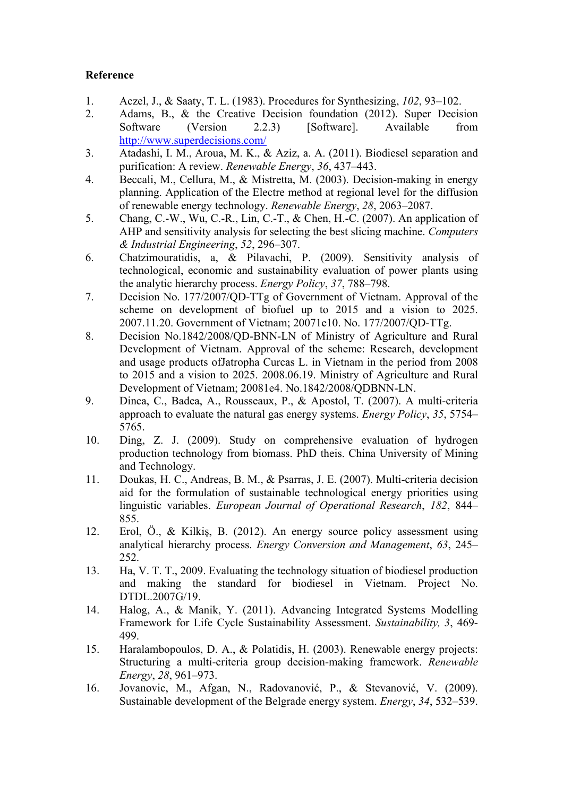# **Reference**

- 1. Aczel, J., & Saaty, T. L. (1983). Procedures for Synthesizing, *102*, 93–102.
- 2. Adams, B., & the Creative Decision foundation (2012). Super Decision Software (Version 2.2.3) [Software]. Available from http://www.superdecisions.com/
- 3. Atadashi, I. M., Aroua, M. K., & Aziz, a. A. (2011). Biodiesel separation and purification: A review. *Renewable Energy*, *36*, 437–443.
- 4. Beccali, M., Cellura, M., & Mistretta, M. (2003). Decision-making in energy planning. Application of the Electre method at regional level for the diffusion of renewable energy technology. *Renewable Energy*, *28*, 2063–2087.
- 5. Chang, C.-W., Wu, C.-R., Lin, C.-T., & Chen, H.-C. (2007). An application of AHP and sensitivity analysis for selecting the best slicing machine. *Computers & Industrial Engineering*, *52*, 296–307.
- 6. Chatzimouratidis, a, & Pilavachi, P. (2009). Sensitivity analysis of technological, economic and sustainability evaluation of power plants using the analytic hierarchy process. *Energy Policy*, *37*, 788–798.
- 7. Decision No. 177/2007/QD-TTg of Government of Vietnam. Approval of the scheme on development of biofuel up to 2015 and a vision to 2025. 2007.11.20. Government of Vietnam; 20071e10. No. 177/2007/QD-TTg.
- 8. Decision No.1842/2008/QD-BNN-LN of Ministry of Agriculture and Rural Development of Vietnam. Approval of the scheme: Research, development and usage products ofJatropha Curcas L. in Vietnam in the period from 2008 to 2015 and a vision to 2025. 2008.06.19. Ministry of Agriculture and Rural Development of Vietnam; 20081e4. No.1842/2008/QDBNN-LN.
- 9. Dinca, C., Badea, A., Rousseaux, P., & Apostol, T. (2007). A multi-criteria approach to evaluate the natural gas energy systems. *Energy Policy*, *35*, 5754– 5765.
- 10. Ding, Z. J. (2009). Study on comprehensive evaluation of hydrogen production technology from biomass. PhD theis. China University of Mining and Technology.
- 11. Doukas, H. C., Andreas, B. M., & Psarras, J. E. (2007). Multi-criteria decision aid for the formulation of sustainable technological energy priorities using linguistic variables. *European Journal of Operational Research*, *182*, 844– 855.
- 12. Erol, Ö., & Kilkiş, B. (2012). An energy source policy assessment using analytical hierarchy process. *Energy Conversion and Management*, *63*, 245– 252.
- 13. Ha, V. T. T., 2009. Evaluating the technology situation of biodiesel production and making the standard for biodiesel in Vietnam. Project No. DTDL.2007G/19.
- 14. Halog, A., & Manik, Y. (2011). Advancing Integrated Systems Modelling Framework for Life Cycle Sustainability Assessment. *Sustainability, 3*, 469- 499.
- 15. Haralambopoulos, D. A., & Polatidis, H. (2003). Renewable energy projects: Structuring a multi-criteria group decision-making framework. *Renewable Energy*, *28*, 961–973.
- 16. Jovanovic, M., Afgan, N., Radovanović, P., & Stevanović, V. (2009). Sustainable development of the Belgrade energy system. *Energy*, *34*, 532–539.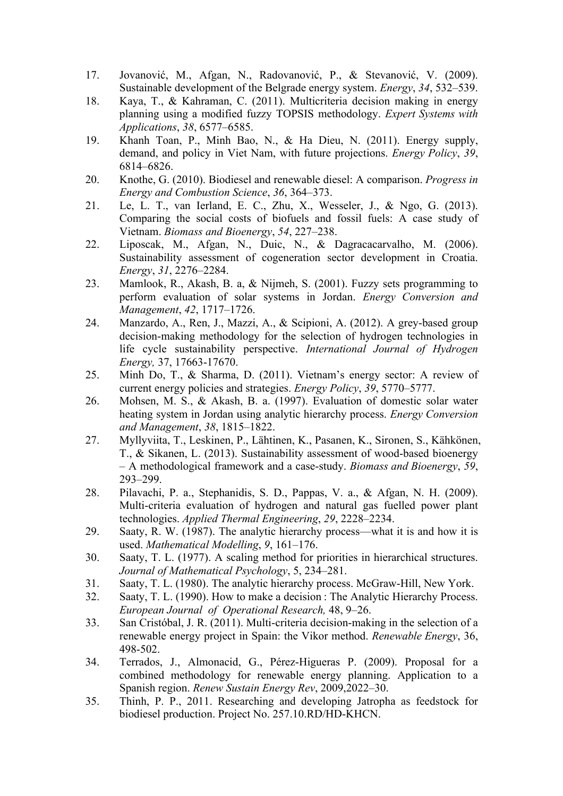- 17. Jovanović, M., Afgan, N., Radovanović, P., & Stevanović, V. (2009). Sustainable development of the Belgrade energy system. *Energy*, *34*, 532–539.
- 18. Kaya, T., & Kahraman, C. (2011). Multicriteria decision making in energy planning using a modified fuzzy TOPSIS methodology. *Expert Systems with Applications*, *38*, 6577–6585.
- 19. Khanh Toan, P., Minh Bao, N., & Ha Dieu, N. (2011). Energy supply, demand, and policy in Viet Nam, with future projections. *Energy Policy*, *39*, 6814–6826.
- 20. Knothe, G. (2010). Biodiesel and renewable diesel: A comparison. *Progress in Energy and Combustion Science*, *36*, 364–373.
- 21. Le, L. T., van Ierland, E. C., Zhu, X., Wesseler, J., & Ngo, G. (2013). Comparing the social costs of biofuels and fossil fuels: A case study of Vietnam. *Biomass and Bioenergy*, *54*, 227–238.
- 22. Liposcak, M., Afgan, N., Duic, N., & Dagracacarvalho, M. (2006). Sustainability assessment of cogeneration sector development in Croatia. *Energy*, *31*, 2276–2284.
- 23. Mamlook, R., Akash, B. a, & Nijmeh, S. (2001). Fuzzy sets programming to perform evaluation of solar systems in Jordan. *Energy Conversion and Management*, *42*, 1717–1726.
- 24. Manzardo, A., Ren, J., Mazzi, A., & Scipioni, A. (2012). A grey-based group decision-making methodology for the selection of hydrogen technologies in life cycle sustainability perspective. *International Journal of Hydrogen Energy,* 37, 17663-17670.
- 25. Minh Do, T., & Sharma, D. (2011). Vietnam's energy sector: A review of current energy policies and strategies. *Energy Policy*, *39*, 5770–5777.
- 26. Mohsen, M. S., & Akash, B. a. (1997). Evaluation of domestic solar water heating system in Jordan using analytic hierarchy process. *Energy Conversion and Management*, *38*, 1815–1822.
- 27. Myllyviita, T., Leskinen, P., Lähtinen, K., Pasanen, K., Sironen, S., Kähkönen, T., & Sikanen, L. (2013). Sustainability assessment of wood-based bioenergy – A methodological framework and a case-study. *Biomass and Bioenergy*, *59*, 293–299.
- 28. Pilavachi, P. a., Stephanidis, S. D., Pappas, V. a., & Afgan, N. H. (2009). Multi-criteria evaluation of hydrogen and natural gas fuelled power plant technologies. *Applied Thermal Engineering*, *29*, 2228–2234.
- 29. Saaty, R. W. (1987). The analytic hierarchy process—what it is and how it is used. *Mathematical Modelling*, *9*, 161–176.
- 30. Saaty, T. L. (1977). A scaling method for priorities in hierarchical structures. *Journal of Mathematical Psychology*, 5, 234–281.
- 31. Saaty, T. L. (1980). The analytic hierarchy process. McGraw-Hill, New York.
- 32. Saaty, T. L. (1990). How to make a decision : The Analytic Hierarchy Process. *European Journal of Operational Research,* 48, 9–26.
- 33. San Cristóbal, J. R. (2011). Multi-criteria decision-making in the selection of a renewable energy project in Spain: the Vikor method. *Renewable Energy*, 36, 498-502.
- 34. Terrados, J., Almonacid, G., Pérez-Higueras P. (2009). Proposal for a combined methodology for renewable energy planning. Application to a Spanish region. *Renew Sustain Energy Rev*, 2009,2022–30.
- 35. Thinh, P. P., 2011. Researching and developing Jatropha as feedstock for biodiesel production. Project No. 257.10.RD/HD-KHCN.